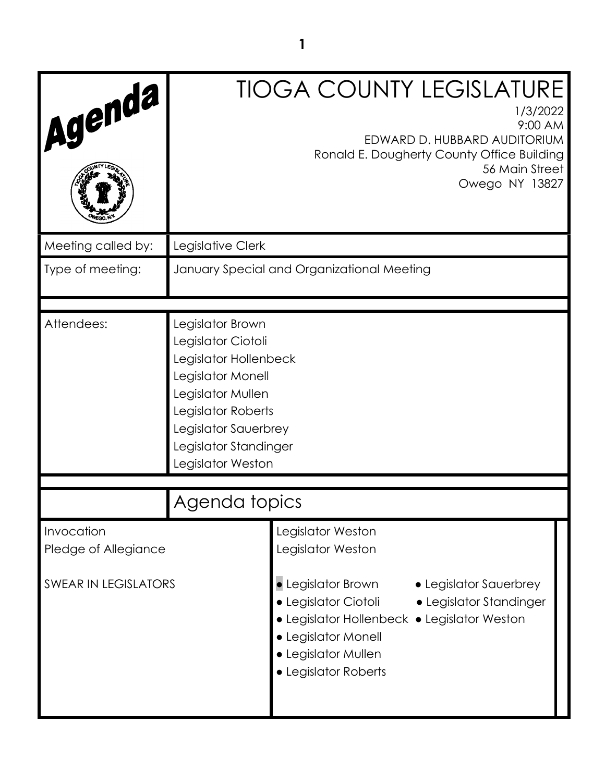| Agenda                             |                                                                                                                                                                                                       | <b>TIOGA COUNTY LEGISLATURE</b><br>1/3/2022<br>9:00 AM<br>EDWARD D. HUBBARD AUDITORIUM<br>Ronald E. Dougherty County Office Building<br>56 Main Street<br>Owego NY 13827                                                             |  |
|------------------------------------|-------------------------------------------------------------------------------------------------------------------------------------------------------------------------------------------------------|--------------------------------------------------------------------------------------------------------------------------------------------------------------------------------------------------------------------------------------|--|
| Meeting called by:                 | Legislative Clerk                                                                                                                                                                                     |                                                                                                                                                                                                                                      |  |
| Type of meeting:                   |                                                                                                                                                                                                       | January Special and Organizational Meeting                                                                                                                                                                                           |  |
| Attendees:                         | Legislator Brown<br>Legislator Ciotoli<br>Legislator Hollenbeck<br>Legislator Monell<br>Legislator Mullen<br>Legislator Roberts<br>Legislator Sauerbrey<br>Legislator Standinger<br>Legislator Weston |                                                                                                                                                                                                                                      |  |
|                                    | Agenda topics                                                                                                                                                                                         |                                                                                                                                                                                                                                      |  |
| Invocation<br>Pledge of Allegiance |                                                                                                                                                                                                       | Legislator Weston<br>Legislator Weston                                                                                                                                                                                               |  |
| <b>SWEAR IN LEGISLATORS</b>        |                                                                                                                                                                                                       | $\bullet$ Legislator Brown<br>• Legislator Sauerbrey<br>$\bullet$ Legislator Ciotoli<br>• Legislator Standinger<br>• Legislator Hollenbeck • Legislator Weston<br>· Legislator Monell<br>• Legislator Mullen<br>· Legislator Roberts |  |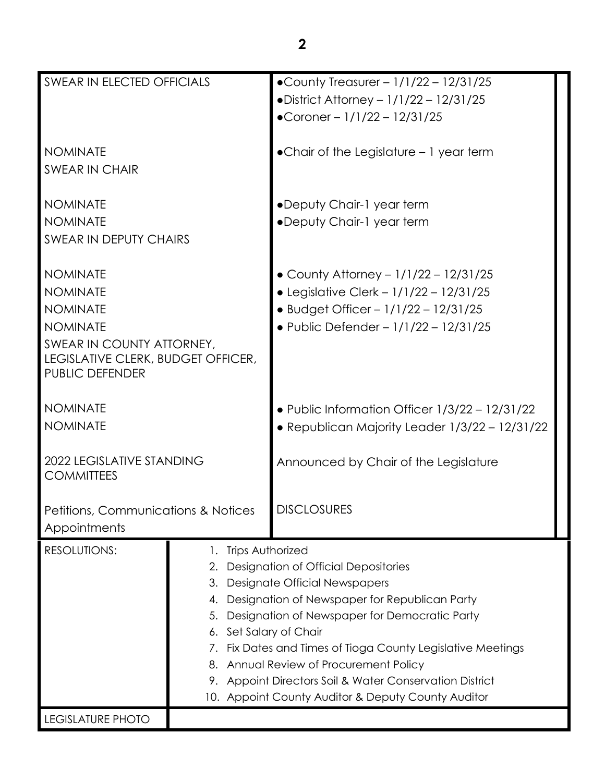| SWEAR IN ELECTED OFFICIALS                            |                                                                | •County Treasurer - $1/1/22 - 12/31/25$              |  |
|-------------------------------------------------------|----------------------------------------------------------------|------------------------------------------------------|--|
|                                                       |                                                                | • District Attorney - $1/1/22 - 12/31/25$            |  |
|                                                       |                                                                | •Coroner - $1/1/22 - 12/31/25$                       |  |
|                                                       |                                                                |                                                      |  |
| <b>NOMINATE</b>                                       |                                                                | $\bullet$ Chair of the Legislature $-1$ year term    |  |
| <b>SWEAR IN CHAIR</b>                                 |                                                                |                                                      |  |
|                                                       |                                                                |                                                      |  |
| <b>NOMINATE</b>                                       |                                                                | •Deputy Chair-1 year term                            |  |
| <b>NOMINATE</b>                                       |                                                                | •Deputy Chair-1 year term                            |  |
| <b>SWEAR IN DEPUTY CHAIRS</b>                         |                                                                |                                                      |  |
|                                                       |                                                                |                                                      |  |
| <b>NOMINATE</b>                                       |                                                                | • County Attorney - $1/1/22 - 12/31/25$              |  |
| <b>NOMINATE</b>                                       |                                                                | • Legislative Clerk - 1/1/22 - 12/31/25              |  |
|                                                       |                                                                | • Budget Officer - $1/1/22 - 12/31/25$               |  |
| <b>NOMINATE</b>                                       |                                                                |                                                      |  |
| <b>NOMINATE</b>                                       |                                                                | • Public Defender - $1/1/22 - 12/31/25$              |  |
| SWEAR IN COUNTY ATTORNEY,                             |                                                                |                                                      |  |
| LEGISLATIVE CLERK, BUDGET OFFICER,<br>PUBLIC DEFENDER |                                                                |                                                      |  |
|                                                       |                                                                |                                                      |  |
| <b>NOMINATE</b>                                       |                                                                | • Public Information Officer 1/3/22 - 12/31/22       |  |
| <b>NOMINATE</b>                                       |                                                                |                                                      |  |
|                                                       |                                                                | · Republican Majority Leader 1/3/22 - 12/31/22       |  |
|                                                       |                                                                |                                                      |  |
| 2022 LEGISLATIVE STANDING<br><b>COMMITTEES</b>        |                                                                | Announced by Chair of the Legislature                |  |
|                                                       |                                                                |                                                      |  |
|                                                       |                                                                | <b>DISCLOSURES</b>                                   |  |
| Petitions, Communications & Notices                   |                                                                |                                                      |  |
| Appointments                                          |                                                                |                                                      |  |
| <b>RESOLUTIONS:</b>                                   | Trips Authorized<br>1.                                         |                                                      |  |
|                                                       | <b>Designation of Official Depositories</b><br>2.              |                                                      |  |
|                                                       | <b>Designate Official Newspapers</b><br>3.                     |                                                      |  |
|                                                       | 4.                                                             | Designation of Newspaper for Republican Party        |  |
|                                                       | Designation of Newspaper for Democratic Party<br>5.            |                                                      |  |
|                                                       | Set Salary of Chair<br>6.                                      |                                                      |  |
|                                                       | Fix Dates and Times of Tioga County Legislative Meetings<br>7. |                                                      |  |
|                                                       | 8.                                                             | Annual Review of Procurement Policy                  |  |
|                                                       | 9.                                                             | Appoint Directors Soil & Water Conservation District |  |
|                                                       |                                                                | 10. Appoint County Auditor & Deputy County Auditor   |  |
| LEGISLATURE PHOTO                                     |                                                                |                                                      |  |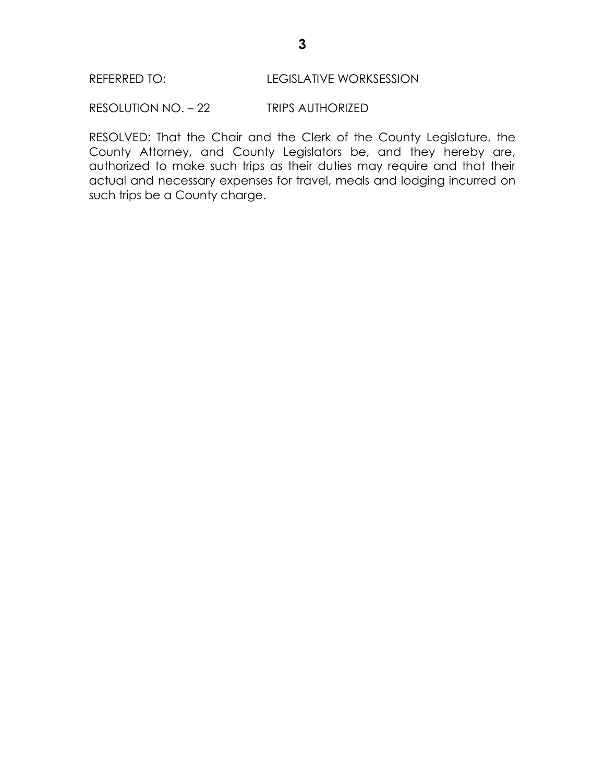RESOLUTION NO. – 22 TRIPS AUTHORIZED

RESOLVED: That the Chair and the Clerk of the County Legislature, the County Attorney, and County Legislators be, and they hereby are, authorized to make such trips as their duties may require and that their actual and necessary expenses for travel, meals and lodging incurred on such trips be a County charge.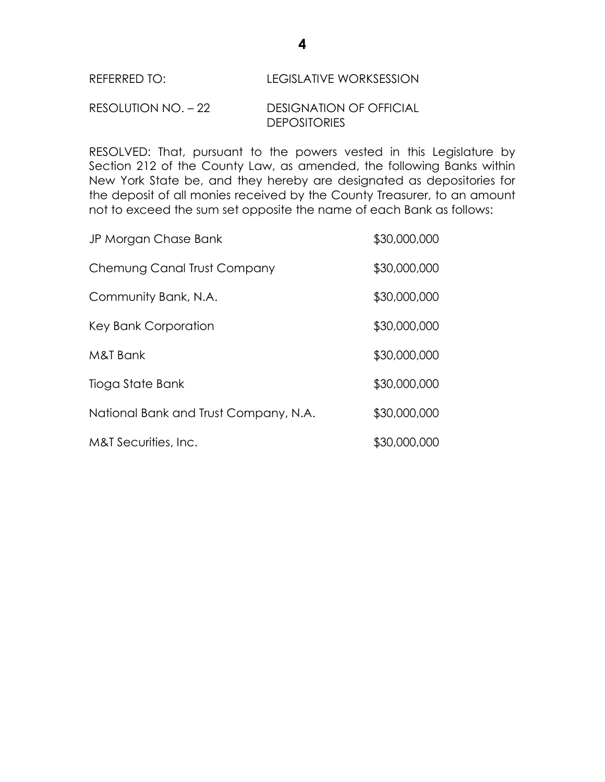# RESOLUTION NO. – 22 DESIGNATION OF OFFICIAL **DEPOSITORIES**

RESOLVED: That, pursuant to the powers vested in this Legislature by Section 212 of the County Law, as amended, the following Banks within New York State be, and they hereby are designated as depositories for the deposit of all monies received by the County Treasurer, to an amount not to exceed the sum set opposite the name of each Bank as follows:

| JP Morgan Chase Bank                  | \$30,000,000 |
|---------------------------------------|--------------|
| Chemung Canal Trust Company           | \$30,000,000 |
| Community Bank, N.A.                  | \$30,000,000 |
| Key Bank Corporation                  | \$30,000,000 |
| M&T Bank                              | \$30,000,000 |
| Tioga State Bank                      | \$30,000,000 |
| National Bank and Trust Company, N.A. | \$30,000,000 |
| M&T Securities, Inc.                  | \$30,000,000 |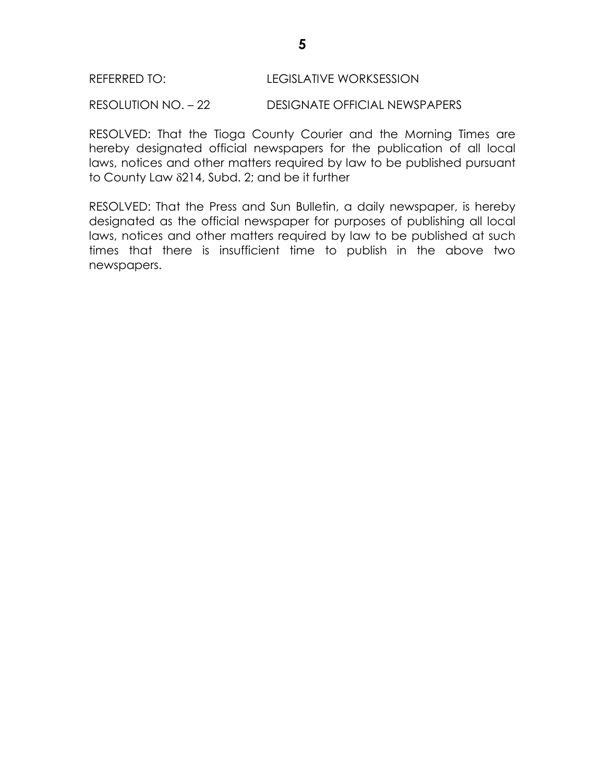RESOLUTION NO. – 22 DESIGNATE OFFICIAL NEWSPAPERS

RESOLVED: That the Tioga County Courier and the Morning Times are hereby designated official newspapers for the publication of all local laws, notices and other matters required by law to be published pursuant to County Law  $\delta$ 214, Subd. 2; and be it further

RESOLVED: That the Press and Sun Bulletin, a daily newspaper, is hereby designated as the official newspaper for purposes of publishing all local laws, notices and other matters required by law to be published at such times that there is insufficient time to publish in the above two newspapers.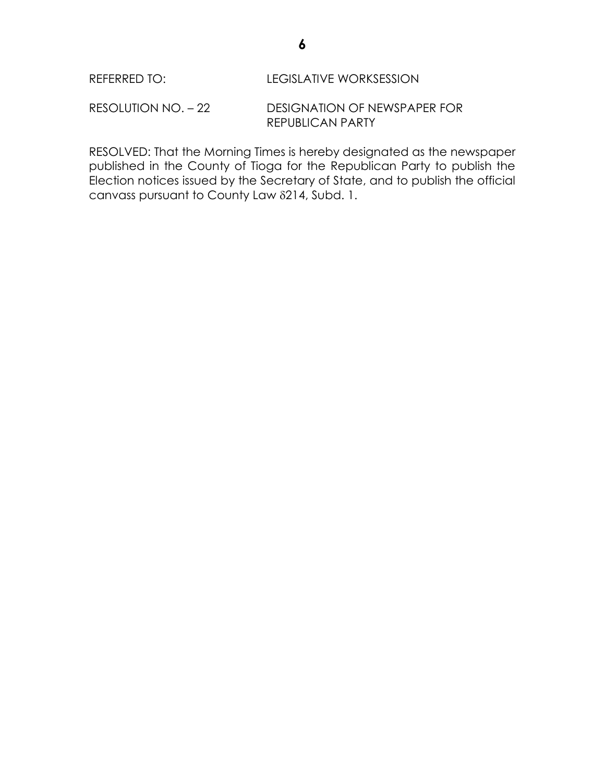RESOLUTION NO. – 22 DESIGNATION OF NEWSPAPER FOR REPUBLICAN PARTY

RESOLVED: That the Morning Times is hereby designated as the newspaper published in the County of Tioga for the Republican Party to publish the Election notices issued by the Secretary of State, and to publish the official canvass pursuant to County Law 214, Subd. 1.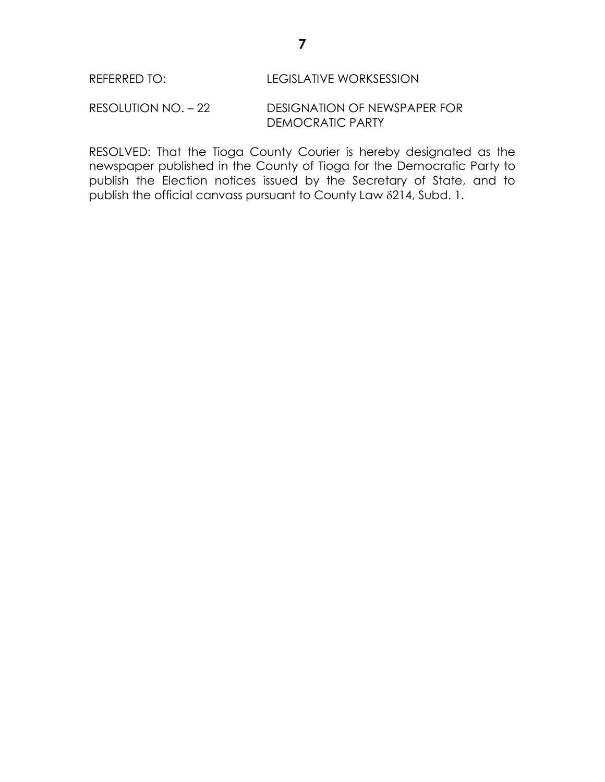RESOLUTION NO. – 22 DESIGNATION OF NEWSPAPER FOR DEMOCRATIC PARTY

RESOLVED: That the Tioga County Courier is hereby designated as the newspaper published in the County of Tioga for the Democratic Party to publish the Election notices issued by the Secretary of State, and to publish the official canvass pursuant to County Law 214, Subd. 1.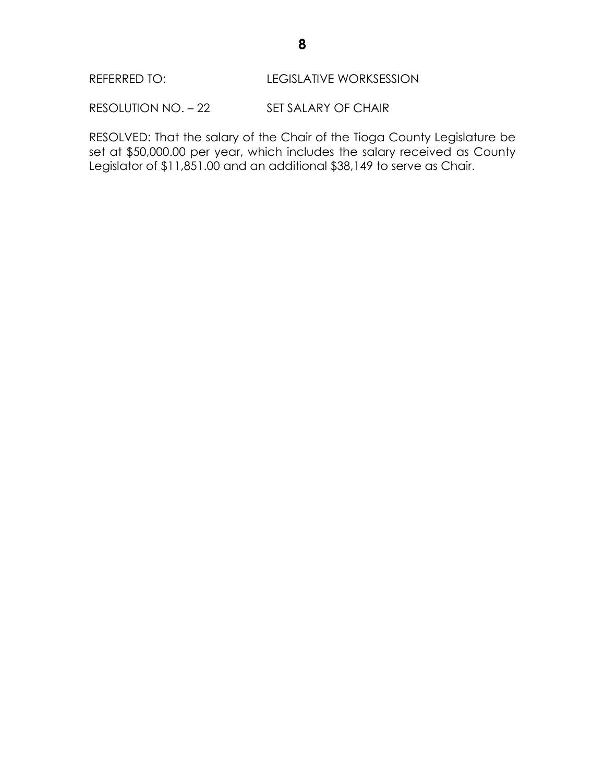RESOLUTION NO. - 22 SET SALARY OF CHAIR

RESOLVED: That the salary of the Chair of the Tioga County Legislature be set at \$50,000.00 per year, which includes the salary received as County Legislator of \$11,851.00 and an additional \$38,149 to serve as Chair.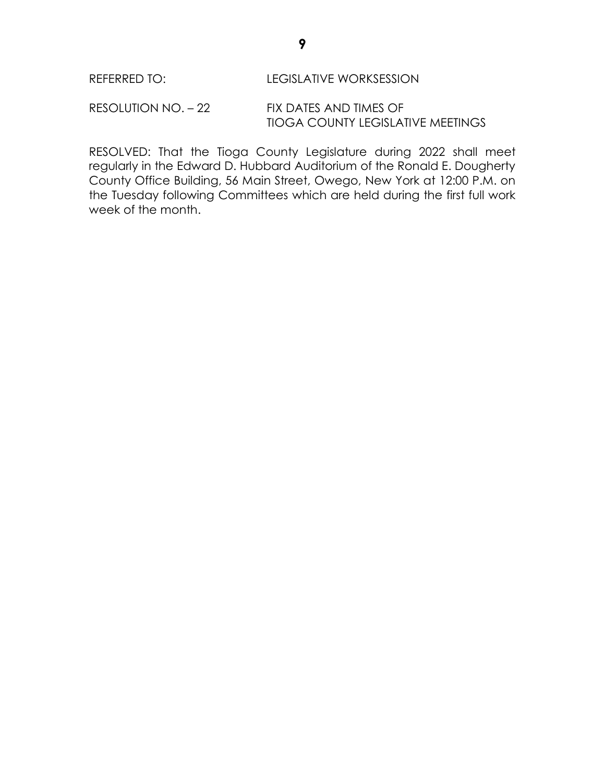RESOLUTION NO. – 22 FIX DATES AND TIMES OF TIOGA COUNTY LEGISLATIVE MEETINGS

RESOLVED: That the Tioga County Legislature during 2022 shall meet regularly in the Edward D. Hubbard Auditorium of the Ronald E. Dougherty County Office Building, 56 Main Street, Owego, New York at 12:00 P.M. on the Tuesday following Committees which are held during the first full work week of the month.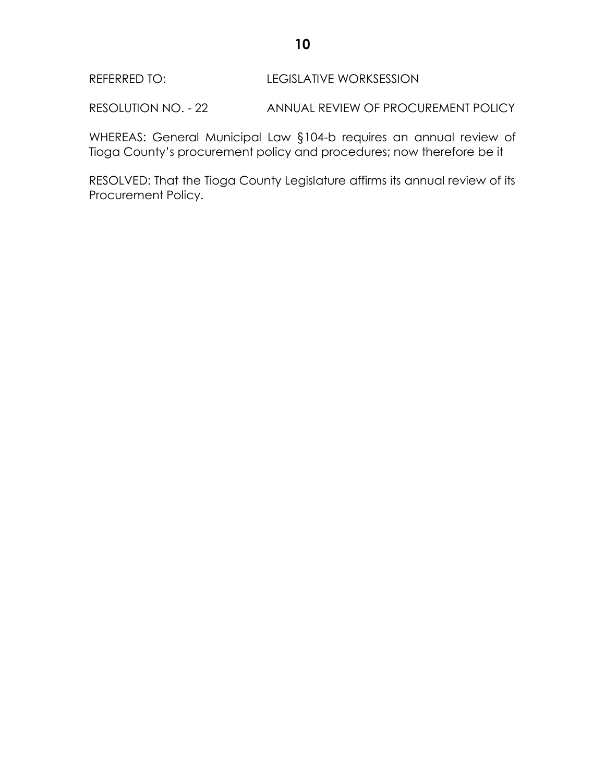RESOLUTION NO. - 22 ANNUAL REVIEW OF PROCUREMENT POLICY

WHEREAS: General Municipal Law §104-b requires an annual review of Tioga County's procurement policy and procedures; now therefore be it

RESOLVED: That the Tioga County Legislature affirms its annual review of its Procurement Policy.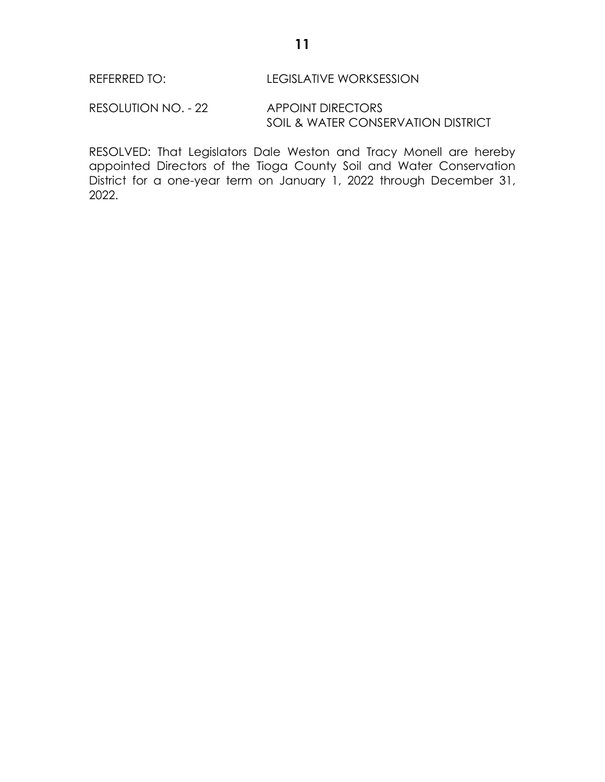RESOLUTION NO. - 22 APPOINT DIRECTORS SOIL & WATER CONSERVATION DISTRICT

RESOLVED: That Legislators Dale Weston and Tracy Monell are hereby appointed Directors of the Tioga County Soil and Water Conservation District for a one-year term on January 1, 2022 through December 31, 2022.